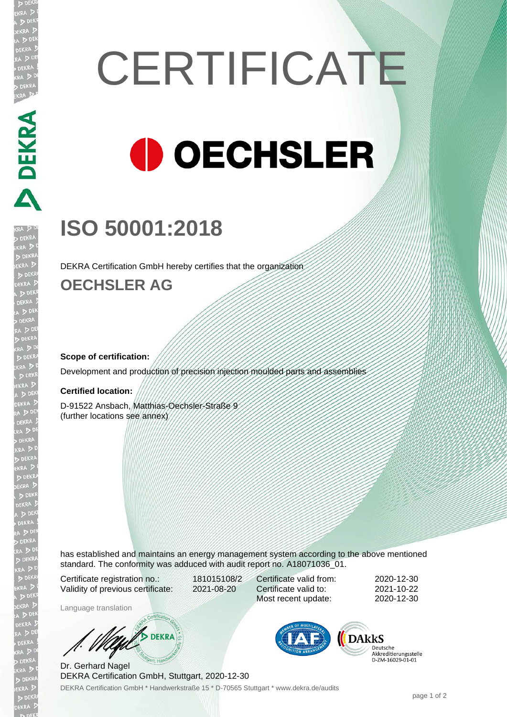# **CERTIFICATE OECHSLER**

# **ISO 50001:2018**

DEKRA Certification GmbH hereby certifies that the organization

### **OECHSLER AG**

#### **Scope of certification:**

Development and production of precision injection moulded parts and assemblies

#### **Certified location:**

D-91522 Ansbach, Matthias-Oechsler-Straße 9 (further locations see annex)

has established and maintains an energy management system according to the above mentioned standard. The conformity was adduced with audit report no. A18071036\_01.

Certificate registration no.: 181015108/2 Validity of previous certificate: 2021-08-20

Certificate valid from: 2020-12-30 Certificate valid to: 2021-10-22 Most recent update: 2020-12-30

Language translation

**DEKRA** 

DEKRA Certification GmbH \* Handwerkstraße 15 \* D-70565 Stuttgart \* www.dekra.de/audits Dr. Gerhard Nagel DEKRA Certification GmbH, Stuttgart, 2020-12-30



Deutsche Akkreditierungsstelle<br>D-ZM-16029-01-01